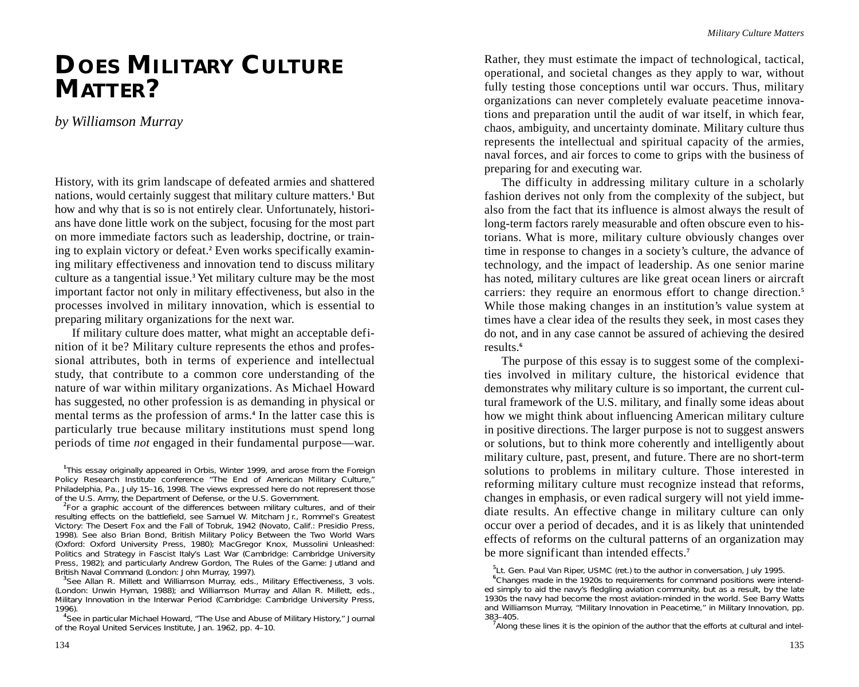# **DOES MILITARY CULTURE MATTER?**

# *by Williamson Murray*

History, with its grim landscape of defeated armies and shattered nations, would certainly suggest that military culture matters.**<sup>1</sup>** But how and why that is so is not entirely clear. Unfortunately, historians have done little work on the subject, focusing for the most part on more immediate factors such as leadership, doctrine, or training to explain victory or defeat.**<sup>2</sup>** Even works specifically examining military effectiveness and innovation tend to discuss military culture as a tangential issue.**<sup>3</sup>** Yet military culture may be the most important factor not only in military effectiveness, but also in the processes involved in military innovation, which is essential to preparing military organizations for the next war.

If military culture does matter, what might an acceptable definition of it be? Military culture represents the ethos and professional attributes, both in terms of experience and intellectual study, that contribute to a common core understanding of the nature of war within military organizations. As Michael Howard has suggested, no other profession is as demanding in physical or mental terms as the profession of arms.**<sup>4</sup>** In the latter case this is particularly true because military institutions must spend long periods of time *not* engaged in their fundamental purpose—war.

<sup>2</sup>For a graphic account of the differences between military cultures, and of their resulting effects on the battlefield, see Samuel W. Mitcham Jr., *Rommel's Greatest Victory: The Desert Fox and the Fall of Tobruk, 1942* (Novato, Calif.: Presidio Press, 1998). See also Brian Bond, *British Military Policy Between the Two World Wars* (Oxford: Oxford University Press, 1980); MacGregor Knox, *Mussolini Unleashed: Politics and Strategy in Fascist Italy's Last War* (Cambridge: Cambridge University Press, 1982); and particularly Andrew Gordon, *The Rules of the Game: Jutland and*

<sup>3</sup>See Allan R. Millett and Williamson Murray, eds., *Military Effectiveness*, 3 vols. (London: Unwin Hyman, 1988); and Williamson Murray and Allan R. Millett, eds., *Military Innovation in the Interwar Period* (Cambridge: Cambridge University Press, 1996). **<sup>4</sup>**See in particular Michael Howard, "The Use and Abuse of Military History," *Journal*

*of the Royal United Services Institute*, Jan. 1962, pp. 4–10.

Rather, they must estimate the impact of technological, tactical, operational, and societal changes as they apply to war, without fully testing those conceptions until war occurs. Thus, military organizations can never completely evaluate peacetime innovations and preparation until the audit of war itself, in which fear, chaos, ambiguity, and uncertainty dominate. Military culture thus represents the intellectual and spiritual capacity of the armies, naval forces, and air forces to come to grips with the business of preparing for and executing war.

The difficulty in addressing military culture in a scholarly fashion derives not only from the complexity of the subject, but also from the fact that its influence is almost always the result of long-term factors rarely measurable and often obscure even to historians. What is more, military culture obviously changes over time in response to changes in a society's culture, the advance of technology, and the impact of leadership. As one senior marine has noted, military cultures are like great ocean liners or aircraft carriers: they require an enormous effort to change direction.**<sup>5</sup>** While those making changes in an institution's value system at times have a clear idea of the results they seek, in most cases they do not, and in any case cannot be assured of achieving the desired results.**<sup>6</sup>**

The purpose of this essay is to suggest some of the complexities involved in military culture, the historical evidence that demonstrates why military culture is so important, the current cultural framework of the U.S. military, and finally some ideas about how we might think about influencing American military culture in positive directions. The larger purpose is not to suggest answers or solutions, but to think more coherently and intelligently about military culture, past, present, and future. There are no short-term solutions to problems in military culture. Those interested in reforming military culture must recognize instead that reforms, changes in emphasis, or even radical surgery will not yield immediate results. An effective change in military culture can only occur over a period of decades, and it is as likely that unintended effects of reforms on the cultural patterns of an organization may be more significant than intended effects.**<sup>7</sup>**

**<sup>5</sup>**Lt. Gen. Paul Van Riper, USMC (ret.) to the author in conversation, July 1995.

**<sup>1</sup>**This essay originally appeared in *Orbis*, Winter 1999, and arose from the Foreign Policy Research Institute conference "The End of American Military Culture," Philadelphia, Pa., July 15-16, 1998. The views expressed here do not represent those of the U.S. Army, the Department of Defense, or the U.S. Government.

**<sup>6</sup>**Changes made in the 1920s to requirements for command positions were intended simply to aid the navy's fledgling aviation community, but as a result, by the late 1930s the navy had become the most aviation-minded in the world. See Barry Watts and Williamson Murray, "Military Innovation in Peacetime," in *Military Innovation*, pp. 383–405.

<sup>&</sup>lt;sup>7</sup>Along these lines it is the opinion of the author that the efforts at cultural and intel-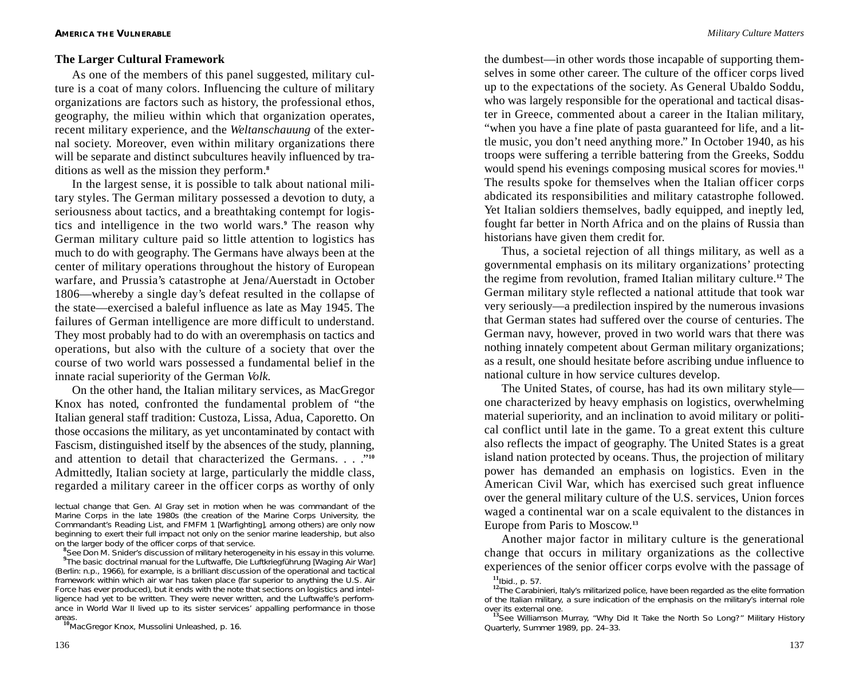## **The Larger Cultural Framework**

As one of the members of this panel suggested, military culture is a coat of many colors. Influencing the culture of military organizations are factors such as history, the professional ethos, geography, the milieu within which that organization operates, recent military experience, and the *Weltanschauung* of the external society. Moreover, even within military organizations there will be separate and distinct subcultures heavily influenced by traditions as well as the mission they perform.**<sup>8</sup>**

In the largest sense, it is possible to talk about national military styles. The German military possessed a devotion to duty, a seriousness about tactics, and a breathtaking contempt for logistics and intelligence in the two world wars.**<sup>9</sup>** The reason why German military culture paid so little attention to logistics has much to do with geography. The Germans have always been at the center of military operations throughout the history of European warfare, and Prussia's catastrophe at Jena/Auerstadt in October 1806—whereby a single day's defeat resulted in the collapse of the state—exercised a baleful influence as late as May 1945. The failures of German intelligence are more difficult to understand. They most probably had to do with an overemphasis on tactics and operations, but also with the culture of a society that over the course of two world wars possessed a fundamental belief in the innate racial superiority of the German *Volk.*

On the other hand, the Italian military services, as MacGregor Knox has noted, confronted the fundamental problem of "the Italian general staff tradition: Custoza, Lissa, Adua, Caporetto. On those occasions the military, as yet uncontaminated by contact with Fascism, distinguished itself by the absences of the study, planning, and attention to detail that characterized the Germans. . . ."**<sup>10</sup>** Admittedly, Italian society at large, particularly the middle class, regarded a military career in the officer corps as worthy of only

<sup>8</sup>See Don M. Snider's discussion of military heterogeneity in his essay in this volume.

**<sup>9</sup>**The basic doctrinal manual for the Luftwaffe, *Die Luftkriegführung* [Waging Air War] (Berlin: n.p., 1966), for example, is a brilliant discussion of the operational and tactical framework within which air war has taken place (far superior to anything the U.S. Air Force has ever produced), but it ends with the note that sections on logistics and intelligence had yet to be written. They were never written, and the Luftwaffe's performance in World War II lived up to its sister services' appalling performance in those areas.

**<sup>10</sup>**MacGregor Knox, *Mussolini Unleashed*, p. 16.

the dumbest—in other words those incapable of supporting themselves in some other career. The culture of the officer corps lived up to the expectations of the society. As General Ubaldo Soddu, who was largely responsible for the operational and tactical disaster in Greece, commented about a career in the Italian military, "when you have a fine plate of pasta guaranteed for life, and a little music, you don't need anything more." In October 1940, as his troops were suffering a terrible battering from the Greeks, Soddu would spend his evenings composing musical scores for movies.**<sup>11</sup>** The results spoke for themselves when the Italian officer corps abdicated its responsibilities and military catastrophe followed. Yet Italian soldiers themselves, badly equipped, and ineptly led, fought far better in North Africa and on the plains of Russia than historians have given them credit for.

Thus, a societal rejection of all things military, as well as a governmental emphasis on its military organizations' protecting the regime from revolution, framed Italian military culture.**<sup>12</sup>** The German military style reflected a national attitude that took war very seriously—a predilection inspired by the numerous invasions that German states had suffered over the course of centuries. The German navy, however, proved in two world wars that there was nothing innately competent about German military organizations; as a result, one should hesitate before ascribing undue influence to national culture in how service cultures develop.

The United States, of course, has had its own military style one characterized by heavy emphasis on logistics, overwhelming material superiority, and an inclination to avoid military or political conflict until late in the game. To a great extent this culture also reflects the impact of geography. The United States is a great island nation protected by oceans. Thus, the projection of military power has demanded an emphasis on logistics. Even in the American Civil War, which has exercised such great influence over the general military culture of the U.S. services, Union forces waged a continental war on a scale equivalent to the distances in Europe from Paris to Moscow.**<sup>13</sup>**

Another major factor in military culture is the generational change that occurs in military organizations as the collective experiences of the senior officer corps evolve with the passage of

lectual change that Gen. Al Gray set in motion when he was commandant of the Marine Corps in the late 1980s (the creation of the Marine Corps University, the Commandant's Reading List, and FMFM 1 [*Warfighting*], among others) are only now beginning to exert their full impact not only on the senior marine leadership, but also on the larger body of the officer corps of that service.

**<sup>11</sup>**Ibid., p. 57. **<sup>12</sup>**The *Carabinieri*, Italy's militarized police, have been regarded as the elite formation of the Italian military, a sure indication of the emphasis on the military's internal role over its external one.

**<sup>13</sup>**See Williamson Murray, "Why Did It Take the North So Long?" *Military History Quarterly*, Summer 1989, pp. 24–33.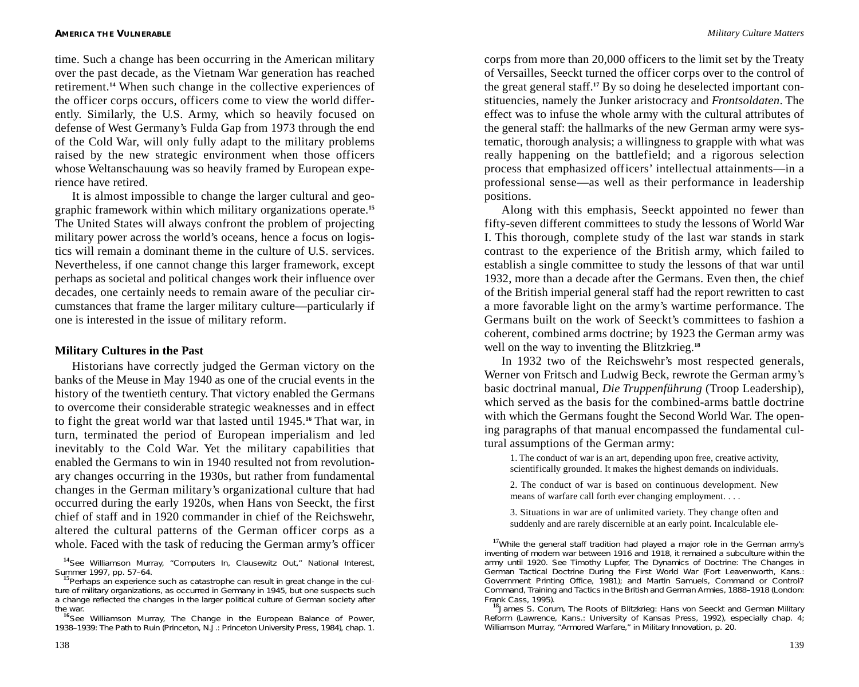time. Such a change has been occurring in the American military over the past decade, as the Vietnam War generation has reached retirement.**<sup>14</sup>** When such change in the collective experiences of the officer corps occurs, officers come to view the world differently. Similarly, the U.S. Army, which so heavily focused on defense of West Germany's Fulda Gap from 1973 through the end of the Cold War, will only fully adapt to the military problems raised by the new strategic environment when those officers whose Weltanschauung was so heavily framed by European experience have retired.

It is almost impossible to change the larger cultural and geographic framework within which military organizations operate.**<sup>15</sup>** The United States will always confront the problem of projecting military power across the world's oceans, hence a focus on logistics will remain a dominant theme in the culture of U.S. services. Nevertheless, if one cannot change this larger framework, except perhaps as societal and political changes work their influence over decades, one certainly needs to remain aware of the peculiar circumstances that frame the larger military culture—particularly if one is interested in the issue of military reform.

### **Military Cultures in the Past**

Historians have correctly judged the German victory on the banks of the Meuse in May 1940 as one of the crucial events in the history of the twentieth century. That victory enabled the Germans to overcome their considerable strategic weaknesses and in effect to fight the great world war that lasted until 1945.**<sup>16</sup>** That war, in turn, terminated the period of European imperialism and led inevitably to the Cold War. Yet the military capabilities that enabled the Germans to win in 1940 resulted not from revolutionary changes occurring in the 1930s, but rather from fundamental changes in the German military's organizational culture that had occurred during the early 1920s, when Hans von Seeckt, the first chief of staff and in 1920 commander in chief of the Reichswehr, altered the cultural patterns of the German officer corps as a whole. Faced with the task of reducing the German army's officer

**<sup>14</sup>**See Williamson Murray, "Computers In, Clausewitz Out," *National Interest*,

**<sup>16</sup>**See Williamson Murray, *The Change in the European Balance of Power*, *1938–1939: The Path to Ruin* (Princeton, N.J.: Princeton University Press, 1984), chap. 1. corps from more than 20,000 officers to the limit set by the Treaty of Versailles, Seeckt turned the officer corps over to the control of the great general staff.**<sup>17</sup>** By so doing he deselected important constituencies, namely the Junker aristocracy and *Frontsoldaten*. The effect was to infuse the whole army with the cultural attributes of the general staff: the hallmarks of the new German army were systematic, thorough analysis; a willingness to grapple with what was really happening on the battlefield; and a rigorous selection process that emphasized officers' intellectual attainments—in a professional sense—as well as their performance in leadership positions.

Along with this emphasis, Seeckt appointed no fewer than fifty-seven different committees to study the lessons of World War I. This thorough, complete study of the last war stands in stark contrast to the experience of the British army, which failed to establish a single committee to study the lessons of that war until 1932, more than a decade after the Germans. Even then, the chief of the British imperial general staff had the report rewritten to cast a more favorable light on the army's wartime performance. The Germans built on the work of Seeckt's committees to fashion a coherent, combined arms doctrine; by 1923 the German army was well on the way to inventing the Blitzkrieg.**<sup>18</sup>**

In 1932 two of the Reichswehr's most respected generals, Werner von Fritsch and Ludwig Beck, rewrote the German army's basic doctrinal manual, *Die Truppenführung* (Troop Leadership), which served as the basis for the combined-arms battle doctrine with which the Germans fought the Second World War. The opening paragraphs of that manual encompassed the fundamental cultural assumptions of the German army:

1. The conduct of war is an art, depending upon free, creative activity, scientifically grounded. It makes the highest demands on individuals.

2. The conduct of war is based on continuous development. New means of warfare call forth ever changing employment. . . .

3. Situations in war are of unlimited variety. They change often and suddenly and are rarely discernible at an early point. Incalculable ele-

<sup>&</sup>lt;sup>15</sup>Perhaps an experience such as catastrophe can result in great change in the culture of military organizations, as occurred in Germany in 1945, but one suspects such a change reflected the changes in the larger political culture of German society after the war.

**<sup>17</sup>**While the general staff tradition had played a major role in the German army's inventing of modern war between 1916 and 1918, it remained a subculture within the army until 1920. See Timothy Lupfer, *The Dynamics of Doctrine: The Changes in German Tactical Doctrine During the First World War* (Fort Leavenworth, Kans.: Government Printing Office, 1981); and Martin Samuels, *Command or Control? Command, Training and Tactics in the British and German Armies, 1888–1918* (London:

<sup>&</sup>lt;sup>18</sup>James S. Corum, *The Roots of Blitzkrieg: Hans von Seeckt and German Military Reform* (Lawrence, Kans.: University of Kansas Press, 1992), especially chap. 4; Williamson Murray, "Armored Warfare," in *Military Innovation*, p. 20.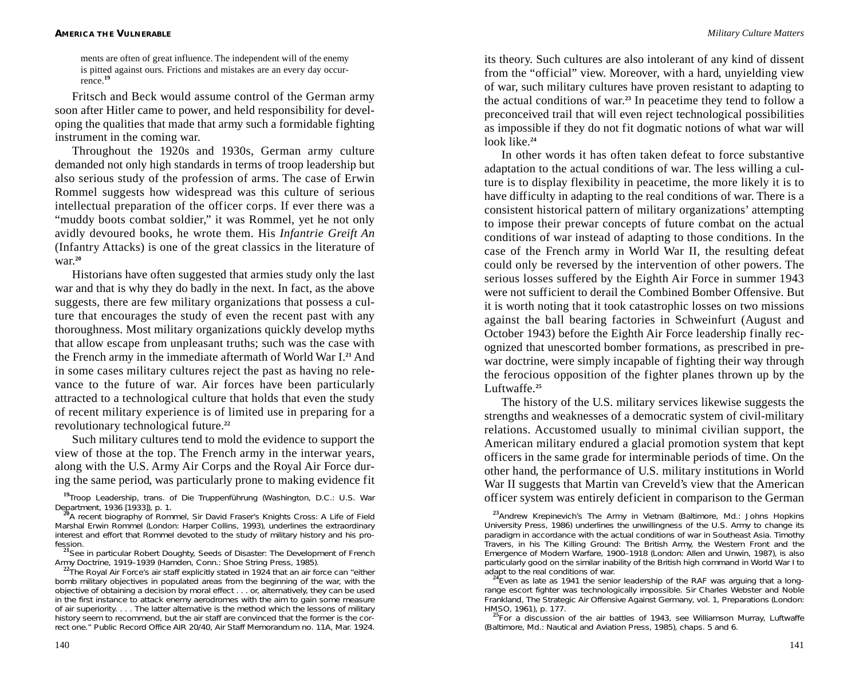#### **AMERICA THE VULNERABLE**

ments are often of great influence. The independent will of the enemy is pitted against ours. Frictions and mistakes are an every day occurrence.**<sup>19</sup>**

Fritsch and Beck would assume control of the German army soon after Hitler came to power, and held responsibility for developing the qualities that made that army such a formidable fighting instrument in the coming war.

Throughout the 1920s and 1930s, German army culture demanded not only high standards in terms of troop leadership but also serious study of the profession of arms. The case of Erwin Rommel suggests how widespread was this culture of serious intellectual preparation of the officer corps. If ever there was a "muddy boots combat soldier," it was Rommel, yet he not only avidly devoured books, he wrote them. His *Infantrie Greift An* (Infantry Attacks) is one of the great classics in the literature of war.**<sup>20</sup>**

Historians have often suggested that armies study only the last war and that is why they do badly in the next. In fact, as the above suggests, there are few military organizations that possess a culture that encourages the study of even the recent past with any thoroughness. Most military organizations quickly develop myths that allow escape from unpleasant truths; such was the case with the French army in the immediate aftermath of World War I.**<sup>21</sup>** And in some cases military cultures reject the past as having no relevance to the future of war. Air forces have been particularly attracted to a technological culture that holds that even the study of recent military experience is of limited use in preparing for a revolutionary technological future.**<sup>22</sup>**

Such military cultures tend to mold the evidence to support the view of those at the top. The French army in the interwar years, along with the U.S. Army Air Corps and the Royal Air Force during the same period, was particularly prone to making evidence fit its theory. Such cultures are also intolerant of any kind of dissent from the "official" view. Moreover, with a hard, unyielding view of war, such military cultures have proven resistant to adapting to the actual conditions of war.**<sup>23</sup>** In peacetime they tend to follow a preconceived trail that will even reject technological possibilities as impossible if they do not fit dogmatic notions of what war will look like.**<sup>24</sup>**

In other words it has often taken defeat to force substantive adaptation to the actual conditions of war. The less willing a culture is to display flexibility in peacetime, the more likely it is to have difficulty in adapting to the real conditions of war. There is a consistent historical pattern of military organizations' attempting to impose their prewar concepts of future combat on the actual conditions of war instead of adapting to those conditions. In the case of the French army in World War II, the resulting defeat could only be reversed by the intervention of other powers. The serious losses suffered by the Eighth Air Force in summer 1943 were not sufficient to derail the Combined Bomber Offensive. But it is worth noting that it took catastrophic losses on two missions against the ball bearing factories in Schweinfurt (August and October 1943) before the Eighth Air Force leadership finally recognized that unescorted bomber formations, as prescribed in prewar doctrine, were simply incapable of fighting their way through the ferocious opposition of the fighter planes thrown up by the Luftwaffe.**<sup>25</sup>**

The history of the U.S. military services likewise suggests the strengths and weaknesses of a democratic system of civil-military relations. Accustomed usually to minimal civilian support, the American military endured a glacial promotion system that kept officers in the same grade for interminable periods of time. On the other hand, the performance of U.S. military institutions in World War II suggests that Martin van Creveld's view that the American officer system was entirely deficient in comparison to the German

**<sup>19</sup>***Troop Leadership*, trans. of *Die Truppenführung* (Washington, D.C.: U.S. War

<sup>&</sup>lt;sup>20</sup>A recent biography of Rommel, Sir David Fraser's *Knights Cross: A Life of Field Marshal Erwin Rommel* (London: Harper Collins, 1993), underlines the extraordinary interest and effort that Rommel devoted to the study of military history and his pro-

fession. **<sup>21</sup>**See in particular Robert Doughty, *Seeds of Disaster: The Development of French*

*Army Doctrine, 1919–1939* (Hamden, Conn.: Shoe String Press, 1985). **<sup>22</sup>**The Royal Air Force's air staff explicitly stated in 1924 that an air force can "either bomb military objectives in populated areas from the beginning of the war, with the objective of obtaining a decision by moral effect . . . or, alternatively, they can be used in the first instance to attack enemy aerodromes with the aim to gain some measure of air superiority. . . . The latter alternative is the method which the lessons of military history seem to recommend, but the air staff are convinced that the former is the correct one." Public Record Office AIR 20/40, Air Staff Memorandum no. 11A, Mar. 1924.

**<sup>23</sup>**Andrew Krepinevich's *The Army in Vietnam* (Baltimore, Md.: Johns Hopkins University Press, 1986) underlines the unwillingness of the U.S. Army to change its paradigm in accordance with the actual conditions of war in Southeast Asia. Timothy Travers, in his *The Killing Ground: The British Army, the Western Front and the Emergence of Modern Warfare, 1900–1918* (London: Allen and Unwin, 1987), is also particularly good on the similar inability of the British high command in World War I to adapt to the real conditions of war.

<sup>&</sup>lt;sup>24</sup>Even as late as 1941 the senior leadership of the RAF was arguing that a longrange escort fighter was technologically impossible. Sir Charles Webster and Noble Frankland, *The Strategic Air Offensive Against Germany*, vol. 1, *Preparations* (London:

HMSO, 1961), p. 177. **<sup>25</sup>**For a discussion of the air battles of 1943, see Williamson Murray, *Luftwaffe* (Baltimore, Md.: Nautical and Aviation Press, 1985), chaps. 5 and 6.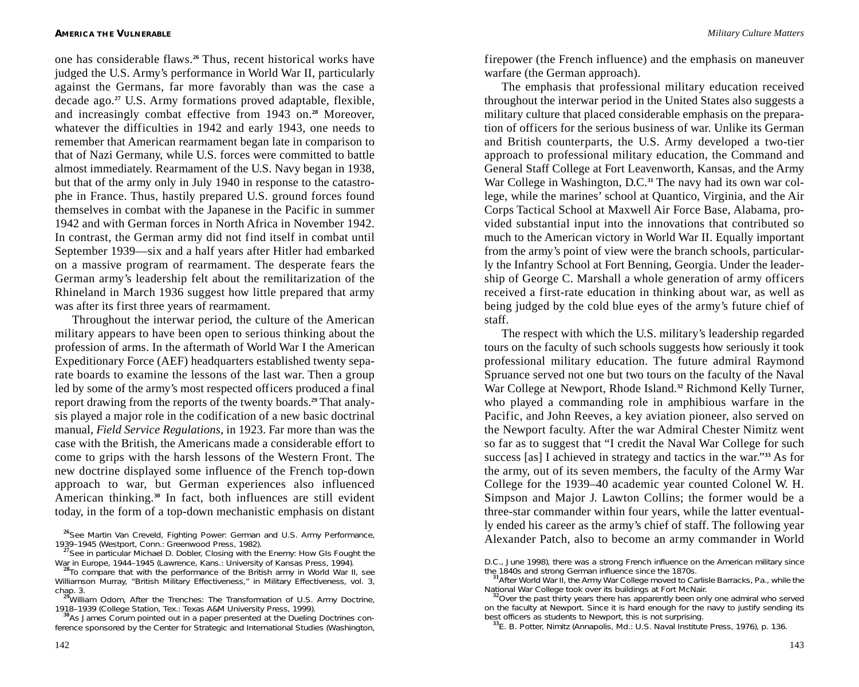one has considerable flaws.**<sup>26</sup>** Thus, recent historical works have judged the U.S. Army's performance in World War II, particularly against the Germans, far more favorably than was the case a decade ago.**<sup>27</sup>** U.S. Army formations proved adaptable, flexible, and increasingly combat effective from 1943 on.**<sup>28</sup>** Moreover, whatever the difficulties in 1942 and early 1943, one needs to remember that American rearmament began late in comparison to that of Nazi Germany, while U.S. forces were committed to battle almost immediately. Rearmament of the U.S. Navy began in 1938, but that of the army only in July 1940 in response to the catastrophe in France. Thus, hastily prepared U.S. ground forces found themselves in combat with the Japanese in the Pacific in summer 1942 and with German forces in North Africa in November 1942. In contrast, the German army did not find itself in combat until September 1939—six and a half years after Hitler had embarked on a massive program of rearmament. The desperate fears the German army's leadership felt about the remilitarization of the Rhineland in March 1936 suggest how little prepared that army was after its first three years of rearmament.

Throughout the interwar period, the culture of the American military appears to have been open to serious thinking about the profession of arms. In the aftermath of World War I the American Expeditionary Force (AEF) headquarters established twenty separate boards to examine the lessons of the last war. Then a group led by some of the army's most respected officers produced a final report drawing from the reports of the twenty boards.**<sup>29</sup>** That analysis played a major role in the codification of a new basic doctrinal manual, *Field Service Regulations*, in 1923. Far more than was the case with the British, the Americans made a considerable effort to come to grips with the harsh lessons of the Western Front. The new doctrine displayed some influence of the French top-down approach to war, but German experiences also influenced American thinking.**<sup>30</sup>** In fact, both influences are still evident today, in the form of a top-down mechanistic emphasis on distant

<sup>30</sup>As James Corum pointed out in a paper presented at the Dueling Doctrines conference sponsored by the Center for Strategic and International Studies (Washington, firepower (the French influence) and the emphasis on maneuver warfare (the German approach).

The emphasis that professional military education received throughout the interwar period in the United States also suggests a military culture that placed considerable emphasis on the preparation of officers for the serious business of war. Unlike its German and British counterparts, the U.S. Army developed a two-tier approach to professional military education, the Command and General Staff College at Fort Leavenworth, Kansas, and the Army War College in Washington, D.C.<sup>31</sup> The navy had its own war college, while the marines' school at Quantico, Virginia, and the Air Corps Tactical School at Maxwell Air Force Base, Alabama, provided substantial input into the innovations that contributed so much to the American victory in World War II. Equally important from the army's point of view were the branch schools, particularly the Infantry School at Fort Benning, Georgia. Under the leadership of George C. Marshall a whole generation of army officers received a first-rate education in thinking about war, as well as being judged by the cold blue eyes of the army's future chief of staff.

The respect with which the U.S. military's leadership regarded tours on the faculty of such schools suggests how seriously it took professional military education. The future admiral Raymond Spruance served not one but two tours on the faculty of the Naval War College at Newport, Rhode Island.**<sup>32</sup>** Richmond Kelly Turner, who played a commanding role in amphibious warfare in the Pacific, and John Reeves, a key aviation pioneer, also served on the Newport faculty. After the war Admiral Chester Nimitz went so far as to suggest that "I credit the Naval War College for such success [as] I achieved in strategy and tactics in the war."**<sup>33</sup>** As for the army, out of its seven members, the faculty of the Army War College for the 1939–40 academic year counted Colonel W. H. Simpson and Major J. Lawton Collins; the former would be a three-star commander within four years, while the latter eventually ended his career as the army's chief of staff. The following year Alexander Patch, also to become an army commander in World

**<sup>26</sup>**See Martin Van Creveld, *Fighting Power: German and U.S. Army Performance,*

<sup>&</sup>lt;sup>27</sup> See in particular Michael D. Dobler, *Closing with the Enemy: How GIs Fought the War in Europe, 1944-1945* (Lawrence, Kans.: University of Kansas Press, 1994).

<sup>&</sup>lt;sup>28</sup>To compare that with the performance of the British army in World War II, see Williamson Murray, "British Military Effectiveness," in *Military Effectiveness*, vol. 3,

<sup>&</sup>lt;sup>239</sup>William Odom, *After the Trenches: The Transformation of U.S. Army Doctrine,*<br>1918–1939 (College Station. Tex.: Texas A&M University Press. 1999).

D.C., June 1998), there was a strong French influence on the American military since the 1840s and strong German influence since the 1870s.

**The 1840s and strong German influence since the 1870s and strong German influence since the 1870s.**<br> **31**After World War II, the Army War College moved to Carlisle Barracks, Pa., while the National War College took over i

<sup>&</sup>lt;sup>32</sup>Over the past thirty years there has apparently been only one admiral who served on the faculty at Newport. Since it is hard enough for the navy to justify sending its best officers as *students* to Newport, this is not surprising.

<sup>&</sup>lt;sup>33</sup>E. B. Potter, *Nimitz* (Annapolis, Md.: U.S. Naval Institute Press, 1976), p. 136.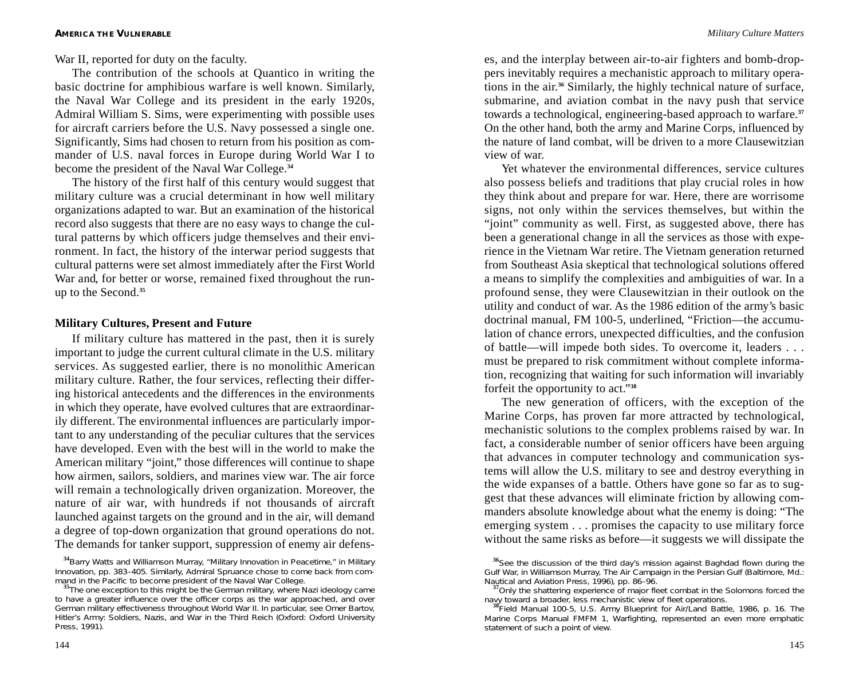War II, reported for duty on the faculty.

The contribution of the schools at Quantico in writing the basic doctrine for amphibious warfare is well known. Similarly, the Naval War College and its president in the early 1920s, Admiral William S. Sims, were experimenting with possible uses for aircraft carriers before the U.S. Navy possessed a single one. Significantly, Sims had chosen to return from his position as commander of U.S. naval forces in Europe during World War I to become the president of the Naval War College.**<sup>34</sup>**

The history of the first half of this century would suggest that military culture was a crucial determinant in how well military organizations adapted to war. But an examination of the historical record also suggests that there are no easy ways to change the cultural patterns by which officers judge themselves and their environment. In fact, the history of the interwar period suggests that cultural patterns were set almost immediately after the First World War and, for better or worse, remained fixed throughout the runup to the Second.**<sup>35</sup>**

## **Military Cultures, Present and Future**

If military culture has mattered in the past, then it is surely important to judge the current cultural climate in the U.S. military services. As suggested earlier, there is no monolithic American military culture. Rather, the four services, reflecting their differing historical antecedents and the differences in the environments in which they operate, have evolved cultures that are extraordinarily different. The environmental influences are particularly important to any understanding of the peculiar cultures that the services have developed. Even with the best will in the world to make the American military "joint," those differences will continue to shape how airmen, sailors, soldiers, and marines view war. The air force will remain a technologically driven organization. Moreover, the nature of air war, with hundreds if not thousands of aircraft launched against targets on the ground and in the air, will demand a degree of top-down organization that ground operations do not. The demands for tanker support, suppression of enemy air defenses, and the interplay between air-to-air fighters and bomb-drop pers inevitably requires a mechanistic approach to military opera tions in the air.**<sup>36</sup>** Similarly, the highly technical nature of surface, submarine, and aviation combat in the navy push that service towards a technological, engineering-based approach to warfare.**<sup>37</sup>** On the other hand, both the army and Marine Corps, influenced by the nature of land combat, will be driven to a more Clausewitzian view of war.

Yet whatever the environmental differences, service cultures also possess beliefs and traditions that play crucial roles in how they think about and prepare for war. Here, there are worrisome signs, not only within the services themselves, but within the "joint" community as well. First, as suggested above, there has been a generational change in all the services as those with expe rience in the Vietnam War retire. The Vietnam generation returned from Southeast Asia skeptical that technological solutions offered a means to simplify the complexities and ambiguities of war. In a profound sense, they were Clausewitzian in their outlook on the utility and conduct of war. As the 1986 edition of the army's basic doctrinal manual, FM 100-5, underlined, "Friction—the accumu lation of chance errors, unexpected difficulties, and the confusion of battle—will impede both sides. To overcome it, leaders . . . must be prepared to risk commitment without complete informa tion, recognizing that waiting for such information will invariably forfeit the opportunity to act."**<sup>38</sup>**

The new generation of officers, with the exception of the Marine Corps, has proven far more attracted by technological, mechanistic solutions to the complex problems raised by war. In fact, a considerable number of senior officers have been arguing that advances in computer technology and communication sys tems will allow the U.S. military to see and destroy everything in the wide expanses of a battle. Others have gone so far as to sug gest that these advances will eliminate friction by allowing com manders absolute knowledge about what the enemy is doing: "The emerging system . . . promises the capacity to use military force without the same risks as before—it suggests we will dissipate the

**<sup>34</sup>**Barry Watts and Williamson Murray, "Military Innovation in Peacetime," in *Military Innovation*, pp. 383–405. Similarly, Admiral Spruance chose to come back from com-

<sup>&</sup>lt;sup>35</sup>The one exception to this might be the German military, where Nazi ideology came to have a greater influence over the officer corps as the war approached, and over German military effectiveness throughout World War II. In particular, see Omer Bartov, *Hitler's Army: Soldiers, Nazis, and War in the Third Reich* (Oxford: Oxford University Press, 1991).

**<sup>36</sup>**See the discussion of the third day's mission against Baghdad flown during the Gulf War, in Williamson Murray, *The Air Campaign in the Persian Gulf* (Baltimore, Md.: Nautical and Aviation Press, 1996), pp. 86-96.

<sup>&</sup>lt;sup>37</sup>Only the shattering experience of major fleet combat in the Solomons forced the navy toward a broader, less mechanistic view of fleet operations. **<sup>38</sup>**Field Manual 100-5, *U.S. Army Blueprint for Air/Land Battle*, 1986, p. 16. The

Marine Corps Manual FMFM 1, *Warfighting*, represented an even more emphatic statement of such a point of view.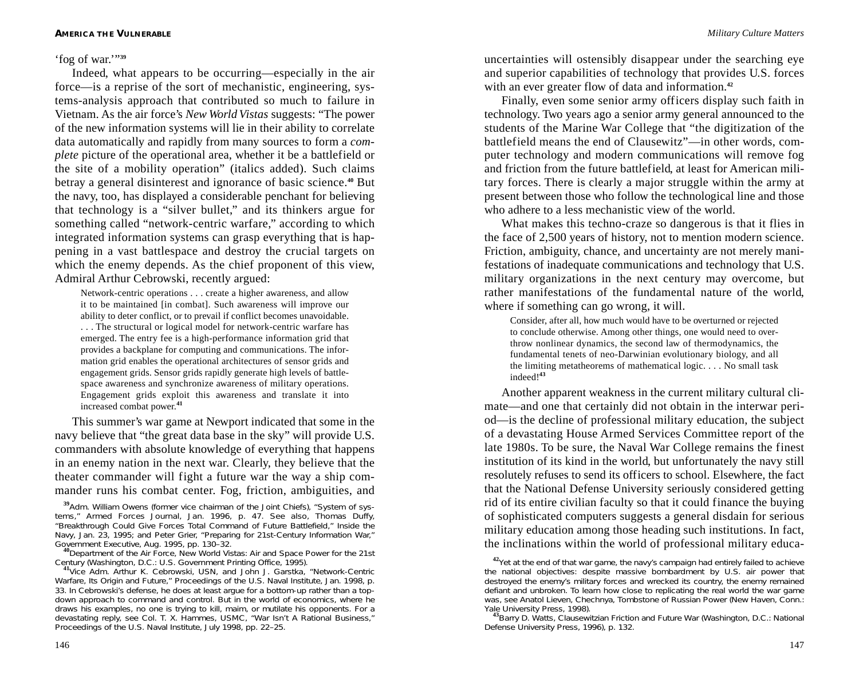## 'fog of war.'"**<sup>39</sup>**

Indeed, what appears to be occurring—especially in the air force—is a reprise of the sort of mechanistic, engineering, systems-analysis approach that contributed so much to failure in Vietnam. As the air force's *New World Vistas* suggests: "The power of the new information systems will lie in their ability to correlate data automatically and rapidly from many sources to form a *complete* picture of the operational area, whether it be a battlefield or the site of a mobility operation" (italics added). Such claims betray a general disinterest and ignorance of basic science.**<sup>40</sup>** But the navy, too, has displayed a considerable penchant for believing that technology is a "silver bullet," and its thinkers argue for something called "network-centric warfare," according to which integrated information systems can grasp everything that is happening in a vast battlespace and destroy the crucial targets on which the enemy depends. As the chief proponent of this view, Admiral Arthur Cebrowski, recently argued:

Network-centric operations . . . create a higher awareness, and allow it to be maintained [in combat]. Such awareness will improve our ability to deter conflict, or to prevail if conflict becomes unavoidable.

. . . The structural or logical model for network-centric warfare has emerged. The entry fee is a high-performance information grid that provides a backplane for computing and communications. The information grid enables the operational architectures of sensor grids and engagement grids. Sensor grids rapidly generate high levels of battlespace awareness and synchronize awareness of military operations. Engagement grids exploit this awareness and translate it into increased combat power.**<sup>41</sup>**

This summer's war game at Newport indicated that some in the navy believe that "the great data base in the sky" will provide U.S. commanders with absolute knowledge of everything that happens in an enemy nation in the next war. Clearly, they believe that the theater commander will fight a future war the way a ship commander runs his combat center. Fog, friction, ambiguities, and and superior capabilities of technology that provides U.S. forces with an ever greater flow of data and information.**<sup>42</sup>**

Finally, even some senior army officers display such faith in technology. Two years ago a senior army general announced to the students of the Marine War College that "the digitization of the battlefield means the end of Clausewitz"—in other words, computer technology and modern communications will remove fog and friction from the future battlefield, at least for American military forces. There is clearly a major struggle within the army at present between those who follow the technological line and those who adhere to a less mechanistic view of the world.

uncertainties will ostensibly disappear under the searching eye

What makes this techno-craze so dangerous is that it flies in the face of 2,500 years of history, not to mention modern science. Friction, ambiguity, chance, and uncertainty are not merely manifestations of inadequate communications and technology that U.S. military organizations in the next century may overcome, but rather manifestations of the fundamental nature of the world, where if something can go wrong, it will.

Consider, after all, how much would have to be overturned or rejected to conclude otherwise. Among other things, one would need to overthrow nonlinear dynamics, the second law of thermodynamics, the fundamental tenets of neo-Darwinian evolutionary biology, and all the limiting metatheorems of mathematical logic. . . . No small task  $indeed!^{43}$ 

Another apparent weakness in the current military cultural climate—and one that certainly did not obtain in the interwar period—is the decline of professional military education, the subject of a devastating House Armed Services Committee report of the late 1980s. To be sure, the Naval War College remains the finest institution of its kind in the world, but unfortunately the navy still resolutely refuses to send its officers to school. Elsewhere, the fact that the National Defense University seriously considered getting rid of its entire civilian faculty so that it could finance the buying of sophisticated computers suggests a general disdain for serious military education among those heading such institutions. In fact, the inclinations within the world of professional military educa-

**<sup>39</sup>**Adm. William Owens (former vice chairman of the Joint Chiefs), "System of systems," *Armed Forces Journal*, Jan. 1996, p. 47. See also, Thomas Duffy, "Breakthrough Could Give Forces Total Command of Future Battlefield," *Inside the Navy*, Jan. 23, 1995; and Peter Grier, "Preparing for 21st-Century Information War,"<br>Government Executive, Aug. 1995, pp. 130-32.

<sup>&</sup>lt;sup>40</sup>Department of the Air Force, *New World Vistas: Air and Space Power for the 21st* Century (Washington, D.C.: U.S. Government Printing Office, 1995).

<sup>&</sup>lt;sup>41</sup>Vice Adm. Arthur K. Cebrowski, USN, and John J. Garstka, "Network-Centric Warfare, Its Origin and Future," *Proceedings of the U.S. Naval Institute*, Jan. 1998, p. 33. In Cebrowski's defense, he does at least argue for a bottom-up rather than a topdown approach to command and control. But in the world of economics, where he draws his examples, no one is trying to kill, maim, or mutilate his opponents. For a devastating reply, see Col. T. X. Hammes, USMC, "War Isn't A Rational Business," *Proceedings of the U.S. Naval Institute*, July 1998, pp. 22–25.

**<sup>42</sup>**Yet at the end of that war game, the navy's campaign had entirely failed to achieve the national objectives: despite massive bombardment by U.S. air power that destroyed the enemy's military forces and wrecked its country, the enemy remained defiant and unbroken. To learn how close to replicating the real world the war game was, see Anatol Lieven, *Chechnya, Tombstone of Russian Power* (New Haven, Conn.:

Yale University Press, 1998). **<sup>43</sup>**Barry D. Watts, *Clausewitzian Friction and Future War* (Washington, D.C.: National Defense University Press, 1996), p. 132.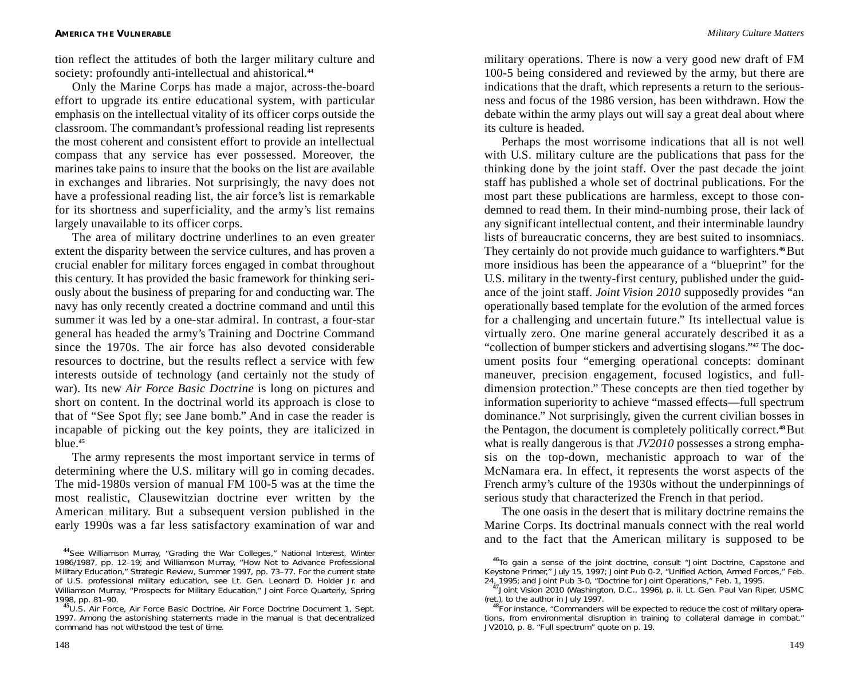tion reflect the attitudes of both the larger military culture and society: profoundly anti-intellectual and ahistorical.**<sup>44</sup>**

Only the Marine Corps has made a major, across-the-board effort to upgrade its entire educational system, with particular emphasis on the intellectual vitality of its officer corps outside the classroom. The commandant's professional reading list represents the most coherent and consistent effort to provide an intellectual compass that any service has ever possessed. Moreover, the marines take pains to insure that the books on the list are available in exchanges and libraries. Not surprisingly, the navy does not have a professional reading list, the air force's list is remarkable for its shortness and superficiality, and the army's list remains largely unavailable to its officer corps.

The area of military doctrine underlines to an even greater extent the disparity between the service cultures, and has proven a crucial enabler for military forces engaged in combat throughout this century. It has provided the basic framework for thinking seriously about the business of preparing for and conducting war. The navy has only recently created a doctrine command and until this summer it was led by a one-star admiral. In contrast, a four-star general has headed the army's Training and Doctrine Command since the 1970s. The air force has also devoted considerable resources to doctrine, but the results reflect a service with few interests outside of technology (and certainly not the study of war). Its new *Air Force Basic Doctrine* is long on pictures and short on content. In the doctrinal world its approach is close to that of "See Spot fly; see Jane bomb." And in case the reader is incapable of picking out the key points, they are italicized in blue.**<sup>45</sup>**

The army represents the most important service in terms of determining where the U.S. military will go in coming decades. The mid-1980s version of manual FM 100-5 was at the time the most realistic, Clausewitzian doctrine ever written by the American military. But a subsequent version published in the early 1990s was a far less satisfactory examination of war and

military operations. There is now a very good new draft of FM 100-5 being considered and reviewed by the army, but there are indications that the draft, which represents a return to the seriousness and focus of the 1986 version, has been withdrawn. How the debate within the army plays out will say a great deal about where its culture is headed.

Perhaps the most worrisome indications that all is not well with U.S. military culture are the publications that pass for the thinking done by the joint staff. Over the past decade the joint staff has published a whole set of doctrinal publications. For the most part these publications are harmless, except to those condemned to read them. In their mind-numbing prose, their lack of any significant intellectual content, and their interminable laundry lists of bureaucratic concerns, they are best suited to insomniacs. They certainly do not provide much guidance to warfighters.**<sup>46</sup>**But more insidious has been the appearance of a "blueprint" for the U.S. military in the twenty-first century, published under the guidance of the joint staff. *Joint Vision 2010* supposedly provides "an operationally based template for the evolution of the armed forces for a challenging and uncertain future." Its intellectual value is virtually zero. One marine general accurately described it as a "collection of bumper stickers and advertising slogans."**<sup>47</sup>** The document posits four "emerging operational concepts: dominant maneuver, precision engagement, focused logistics, and fulldimension protection." These concepts are then tied together by information superiority to achieve "massed effects—full spectrum dominance." Not surprisingly, given the current civilian bosses in the Pentagon, the document is completely politically correct.**<sup>48</sup>**But what is really dangerous is that *JV2010* possesses a strong emphasis on the top-down, mechanistic approach to war of the McNamara era. In effect, it represents the worst aspects of the French army's culture of the 1930s without the underpinnings of serious study that characterized the French in that period.

The one oasis in the desert that is military doctrine remains the Marine Corps. Its doctrinal manuals connect with the real world and to the fact that the American military is supposed to be

**<sup>44</sup>**See Williamson Murray, "Grading the War Colleges," *National Interest*, Winter 1986/1987, pp. 12–19; and Williamson Murray, "How Not to Advance Professional Military Education," *Strategic Review*, Summer 1997, pp. 73–77. For the current state of U.S. professional military education, see Lt. Gen. Leonard D. Holder Jr. and Williamson Murray, "Prospects for Military Education," Joint Force Quarterly, Spring<br>1998. pp. 81-90.

<sup>1998,</sup> pp. 81–90. **<sup>45</sup>**U.S. Air Force, *Air Force Basic Doctrine, Air Force Doctrine Document 1*, Sept. 1997. Among the astonishing statements made in the manual is that decentralized command has not withstood the test of time.

**<sup>46</sup>**To gain a sense of the joint doctrine, consult "Joint Doctrine, Capstone and Keystone Primer," July 15, 1997; Joint Pub 0-2, "Unified Action, Armed Forces," Feb. 24, 1995; and Joint Pub 3-0, "Doctrine for Joint Operations," Feb. 1, 1995. **<sup>47</sup>***Joint Vision 2010* (Washington, D.C., 1996), p. ii. Lt. Gen. Paul Van Riper, USMC

<sup>(</sup>ret.), to the author in July 1997. **<sup>48</sup>**For instance, "Commanders will be expected to reduce the cost of military opera-

tions, from environmental disruption in training to collateral damage in combat." *JV2010*, p. 8. "Full spectrum" quote on p. 19.